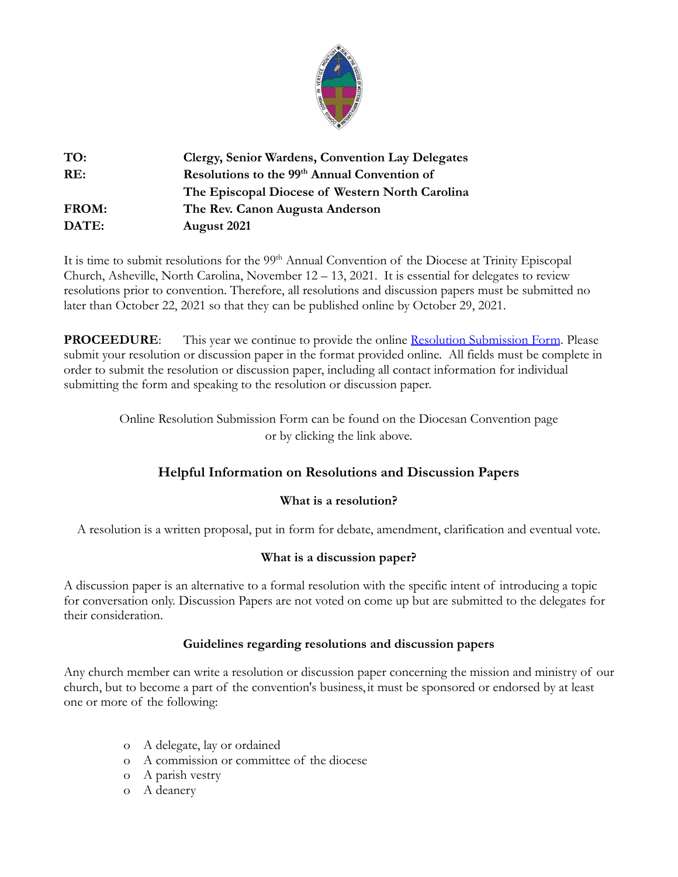

| TO:   | Clergy, Senior Wardens, Convention Lay Delegates         |
|-------|----------------------------------------------------------|
| RE:   | Resolutions to the 99 <sup>th</sup> Annual Convention of |
|       | The Episcopal Diocese of Western North Carolina          |
| FROM: | The Rev. Canon Augusta Anderson                          |
| DATE: | August 2021                                              |

It is time to submit resolutions for the 99<sup>th</sup> Annual Convention of the Diocese at Trinity Episcopal Church, Asheville, North Carolina, November 12 – 13, 2021. It is essential for delegates to review resolutions prior to convention. Therefore, all resolutions and discussion papers must be submitted no later than October 22, 2021 so that they can be published online by October 29, 2021.

**PROCEEDURE:** This year we continue to provide the online [Resolution Submission Form](https://form.jotform.com/201953830499161). Please submit your resolution or discussion paper in the format provided online. All fields must be complete in order to submit the resolution or discussion paper, including all contact information for individual submitting the form and speaking to the resolution or discussion paper.

> Online Resolution Submission Form can be found on the Diocesan Convention page or by clicking the link above.

# **Helpful Information on Resolutions and Discussion Papers**

# **What is a resolution?**

A resolution is a written proposal, put in form for debate, amendment, clarification and eventual vote.

# **What is a discussion paper?**

A discussion paper is an alternative to a formal resolution with the specific intent of introducing a topic for conversation only. Discussion Papers are not voted on come up but are submitted to the delegates for their consideration.

# **Guidelines regarding resolutions and discussion papers**

Any church member can write a resolution or discussion paper concerning the mission and ministry of our church, but to become a part of the convention's business, it must be sponsored or endorsed by at least one or more of the following:

- o A delegate, lay or ordained
- o A commission or committee of the diocese
- o A parish vestry
- o A deanery